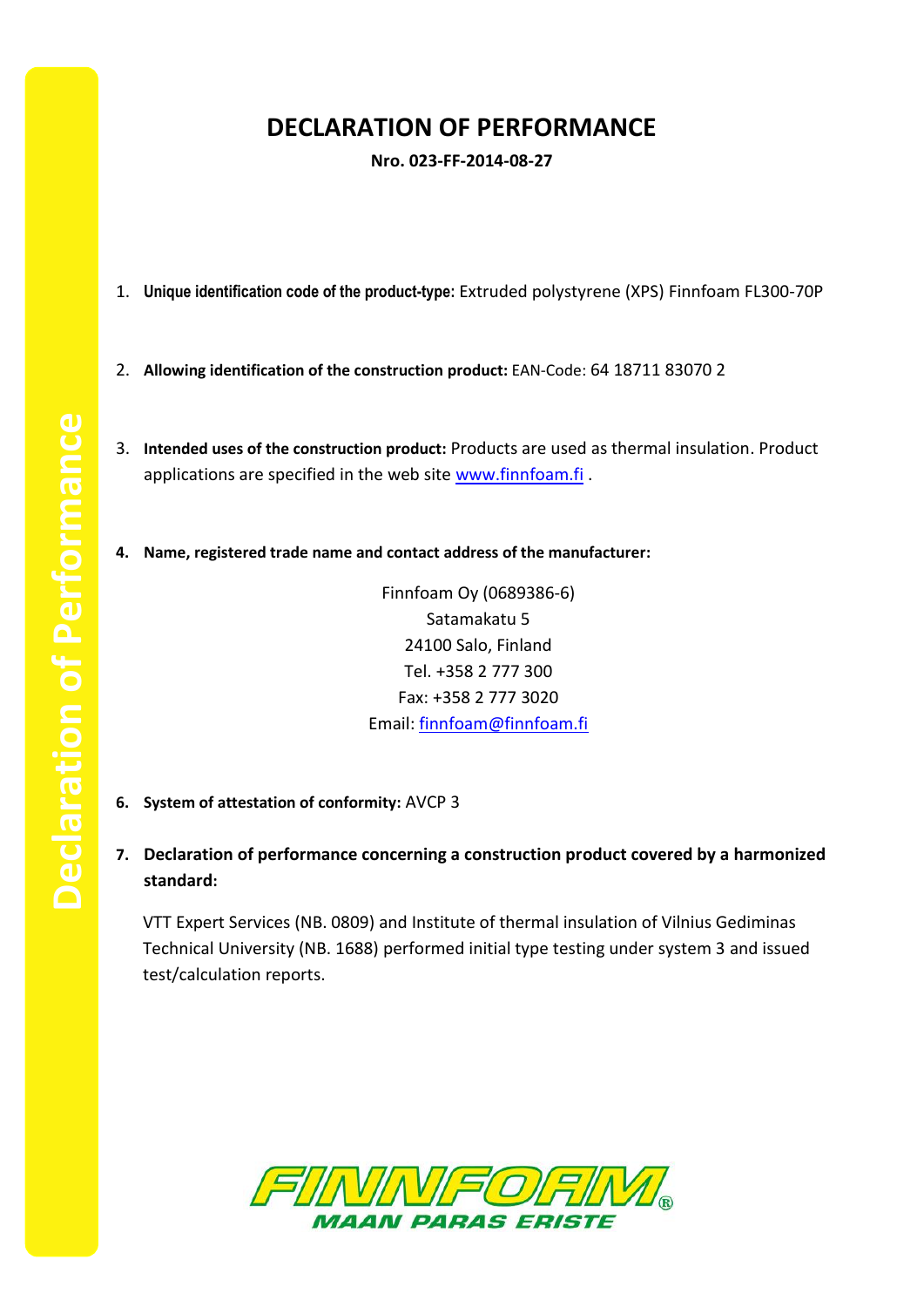## **DECLARATION OF PERFORMANCE**

**Nro. 023-FF-2014-08-27**

- 1. **Unique identification code of the product-type:** Extruded polystyrene (XPS) Finnfoam FL300-70P
- 2. **Allowing identification of the construction product:** EAN-Code: 64 18711 83070 2
- 3. **Intended uses of the construction product:** Products are used as thermal insulation. Product applications are specified in the web site [www.finnfoam.fi](http://www.finnfoam.fi/).
- **4. Name, registered trade name and contact address of the manufacturer:**

Finnfoam Oy (0689386-6) Satamakatu 5 24100 Salo, Finland Tel. +358 2 777 300 Fax: +358 2 777 3020 Email: [finnfoam@finnfoam.fi](mailto:finnfoam@finnfoam.fi)

- **6. System of attestation of conformity:** AVCP 3
- **7. Declaration of performance concerning a construction product covered by a harmonized standard:**

VTT Expert Services (NB. 0809) and Institute of thermal insulation of Vilnius Gediminas Technical University (NB. 1688) performed initial type testing under system 3 and issued test/calculation reports.